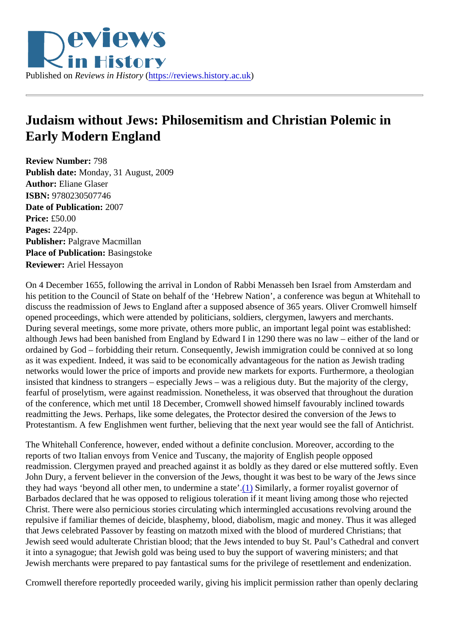<span id="page-0-0"></span>

## **Judaism without Jews: Philosemitism and Christian Polemic in Early Modern England**

**Review Number:** 798 **Publish date:** Monday, 31 August, 2009 **Author:** Eliane Glaser **ISBN:** 9780230507746 **Date of Publication:** 2007 **Price:** £50.00 **Pages:** 224pp. **Publisher:** Palgrave Macmillan **Place of Publication: Basingstoke Reviewer:** Ariel Hessayon

On 4 December 1655, following the arrival in London of Rabbi Menasseh ben Israel from Amsterdam and his petition to the Council of State on behalf of the 'Hebrew Nation', a conference was begun at Whitehall to discuss the readmission of Jews to England after a supposed absence of 365 years. Oliver Cromwell himself opened proceedings, which were attended by politicians, soldiers, clergymen, lawyers and merchants. During several meetings, some more private, others more public, an important legal point was established: although Jews had been banished from England by Edward I in 1290 there was no law – either of the land or ordained by God – forbidding their return. Consequently, Jewish immigration could be connived at so long as it was expedient. Indeed, it was said to be economically advantageous for the nation as Jewish trading networks would lower the price of imports and provide new markets for exports. Furthermore, a theologian insisted that kindness to strangers – especially Jews – was a religious duty. But the majority of the clergy, fearful of proselytism, were against readmission. Nonetheless, it was observed that throughout the duration of the conference, which met until 18 December, Cromwell showed himself favourably inclined towards readmitting the Jews. Perhaps, like some delegates, the Protector desired the conversion of the Jews to Protestantism. A few Englishmen went further, believing that the next year would see the fall of Antichrist.

The Whitehall Conference, however, ended without a definite conclusion. Moreover, according to the reports of two Italian envoys from Venice and Tuscany, the majority of English people opposed readmission. Clergymen prayed and preached against it as boldly as they dared or else muttered softly. Even John Dury, a fervent believer in the conversion of the Jews, thought it was best to be wary of the Jews since they had ways 'beyond all other men, to undermine a state'[.\(1\)](#page-4-0) Similarly, a former royalist governor of Barbados declared that he was opposed to religious toleration if it meant living among those who rejected Christ. There were also pernicious stories circulating which intermingled accusations revolving around the repulsive if familiar themes of deicide, blasphemy, blood, diabolism, magic and money. Thus it was alleged that Jews celebrated Passover by feasting on matzoth mixed with the blood of murdered Christians; that Jewish seed would adulterate Christian blood; that the Jews intended to buy St. Paul's Cathedral and convert it into a synagogue; that Jewish gold was being used to buy the support of wavering ministers; and that Jewish merchants were prepared to pay fantastical sums for the privilege of resettlement and endenization.

Cromwell therefore reportedly proceeded warily, giving his implicit permission rather than openly declaring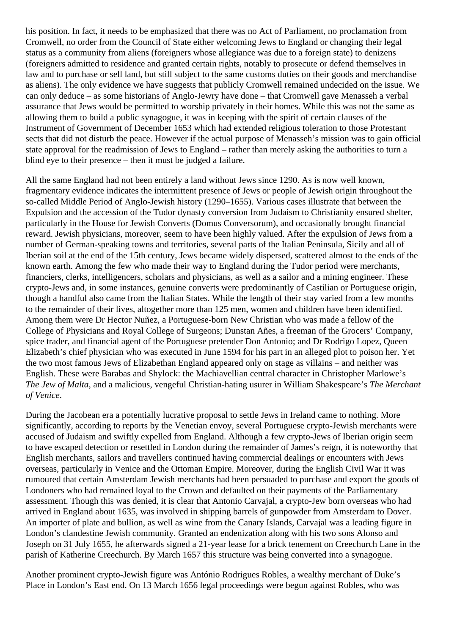his position. In fact, it needs to be emphasized that there was no Act of Parliament, no proclamation from Cromwell, no order from the Council of State either welcoming Jews to England or changing their legal status as a community from aliens (foreigners whose allegiance was due to a foreign state) to denizens (foreigners admitted to residence and granted certain rights, notably to prosecute or defend themselves in law and to purchase or sell land, but still subject to the same customs duties on their goods and merchandise as aliens). The only evidence we have suggests that publicly Cromwell remained undecided on the issue. We can only deduce – as some historians of Anglo-Jewry have done – that Cromwell gave Menasseh a verbal assurance that Jews would be permitted to worship privately in their homes. While this was not the same as allowing them to build a public synagogue, it was in keeping with the spirit of certain clauses of the Instrument of Government of December 1653 which had extended religious toleration to those Protestant sects that did not disturb the peace. However if the actual purpose of Menasseh's mission was to gain official state approval for the readmission of Jews to England – rather than merely asking the authorities to turn a blind eye to their presence – then it must be judged a failure.

All the same England had not been entirely a land without Jews since 1290. As is now well known, fragmentary evidence indicates the intermittent presence of Jews or people of Jewish origin throughout the so-called Middle Period of Anglo-Jewish history (1290–1655). Various cases illustrate that between the Expulsion and the accession of the Tudor dynasty conversion from Judaism to Christianity ensured shelter, particularly in the House for Jewish Converts (Domus Conversorum), and occasionally brought financial reward. Jewish physicians, moreover, seem to have been highly valued. After the expulsion of Jews from a number of German-speaking towns and territories, several parts of the Italian Peninsula, Sicily and all of Iberian soil at the end of the 15th century, Jews became widely dispersed, scattered almost to the ends of the known earth. Among the few who made their way to England during the Tudor period were merchants, financiers, clerks, intelligencers, scholars and physicians, as well as a sailor and a mining engineer. These crypto-Jews and, in some instances, genuine converts were predominantly of Castilian or Portuguese origin, though a handful also came from the Italian States. While the length of their stay varied from a few months to the remainder of their lives, altogether more than 125 men, women and children have been identified. Among them were Dr Hector Nuñez, a Portuguese-born New Christian who was made a fellow of the College of Physicians and Royal College of Surgeons; Dunstan Añes, a freeman of the Grocers' Company, spice trader, and financial agent of the Portuguese pretender Don Antonio; and Dr Rodrigo Lopez, Queen Elizabeth's chief physician who was executed in June 1594 for his part in an alleged plot to poison her. Yet the two most famous Jews of Elizabethan England appeared only on stage as villains – and neither was English. These were Barabas and Shylock: the Machiavellian central character in Christopher Marlowe's *The Jew of Malta*, and a malicious, vengeful Christian-hating usurer in William Shakespeare's *The Merchant of Venice*.

During the Jacobean era a potentially lucrative proposal to settle Jews in Ireland came to nothing. More significantly, according to reports by the Venetian envoy, several Portuguese crypto-Jewish merchants were accused of Judaism and swiftly expelled from England. Although a few crypto-Jews of Iberian origin seem to have escaped detection or resettled in London during the remainder of James's reign, it is noteworthy that English merchants, sailors and travellers continued having commercial dealings or encounters with Jews overseas, particularly in Venice and the Ottoman Empire. Moreover, during the English Civil War it was rumoured that certain Amsterdam Jewish merchants had been persuaded to purchase and export the goods of Londoners who had remained loyal to the Crown and defaulted on their payments of the Parliamentary assessment. Though this was denied, it is clear that Antonio Carvajal, a crypto-Jew born overseas who had arrived in England about 1635, was involved in shipping barrels of gunpowder from Amsterdam to Dover. An importer of plate and bullion, as well as wine from the Canary Islands, Carvajal was a leading figure in London's clandestine Jewish community. Granted an endenization along with his two sons Alonso and Joseph on 31 July 1655, he afterwards signed a 21-year lease for a brick tenement on Creechurch Lane in the parish of Katherine Creechurch. By March 1657 this structure was being converted into a synagogue.

Another prominent crypto-Jewish figure was António Rodrigues Robles, a wealthy merchant of Duke's Place in London's East end. On 13 March 1656 legal proceedings were begun against Robles, who was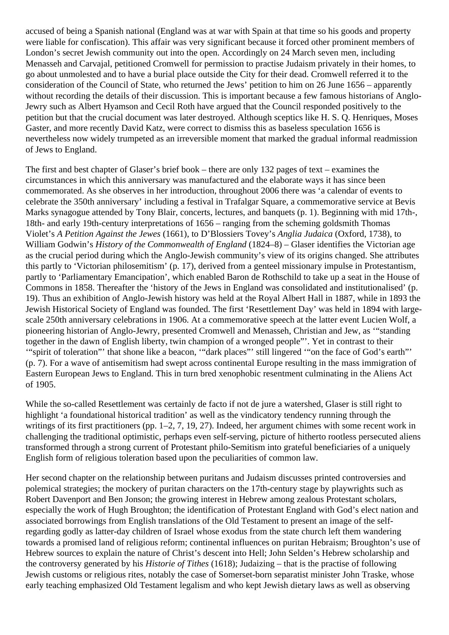accused of being a Spanish national (England was at war with Spain at that time so his goods and property were liable for confiscation). This affair was very significant because it forced other prominent members of London's secret Jewish community out into the open. Accordingly on 24 March seven men, including Menasseh and Carvajal, petitioned Cromwell for permission to practise Judaism privately in their homes, to go about unmolested and to have a burial place outside the City for their dead. Cromwell referred it to the consideration of the Council of State, who returned the Jews' petition to him on 26 June 1656 – apparently without recording the details of their discussion. This is important because a few famous historians of Anglo-Jewry such as Albert Hyamson and Cecil Roth have argued that the Council responded positively to the petition but that the crucial document was later destroyed. Although sceptics like H. S. Q. Henriques, Moses Gaster, and more recently David Katz, were correct to dismiss this as baseless speculation 1656 is nevertheless now widely trumpeted as an irreversible moment that marked the gradual informal readmission of Jews to England.

The first and best chapter of Glaser's brief book – there are only 132 pages of text – examines the circumstances in which this anniversary was manufactured and the elaborate ways it has since been commemorated. As she observes in her introduction, throughout 2006 there was 'a calendar of events to celebrate the 350th anniversary' including a festival in Trafalgar Square, a commemorative service at Bevis Marks synagogue attended by Tony Blair, concerts, lectures, and banquets (p. 1). Beginning with mid 17th-, 18th- and early 19th-century interpretations of 1656 – ranging from the scheming goldsmith Thomas Violet's *A Petition Against the Jewes* (1661), to D'Blossiers Tovey's *Anglia Judaica* (Oxford, 1738), to William Godwin's *History of the Commonwealth of England* (1824–8) – Glaser identifies the Victorian age as the crucial period during which the Anglo-Jewish community's view of its origins changed. She attributes this partly to 'Victorian philosemitism' (p. 17), derived from a genteel missionary impulse in Protestantism, partly to 'Parliamentary Emancipation', which enabled Baron de Rothschild to take up a seat in the House of Commons in 1858. Thereafter the 'history of the Jews in England was consolidated and institutionalised' (p. 19). Thus an exhibition of Anglo-Jewish history was held at the Royal Albert Hall in 1887, while in 1893 the Jewish Historical Society of England was founded. The first 'Resettlement Day' was held in 1894 with largescale 250th anniversary celebrations in 1906. At a commemorative speech at the latter event Lucien Wolf, a pioneering historian of Anglo-Jewry, presented Cromwell and Menasseh, Christian and Jew, as '"standing together in the dawn of English liberty, twin champion of a wronged people"'. Yet in contrast to their '"spirit of toleration"' that shone like a beacon, '"dark places"' still lingered '"on the face of God's earth"' (p. 7). For a wave of antisemitism had swept across continental Europe resulting in the mass immigration of Eastern European Jews to England. This in turn bred xenophobic resentment culminating in the Aliens Act of 1905.

While the so-called Resettlement was certainly de facto if not de jure a watershed, Glaser is still right to highlight 'a foundational historical tradition' as well as the vindicatory tendency running through the writings of its first practitioners (pp. 1–2, 7, 19, 27). Indeed, her argument chimes with some recent work in challenging the traditional optimistic, perhaps even self-serving, picture of hitherto rootless persecuted aliens transformed through a strong current of Protestant philo-Semitism into grateful beneficiaries of a uniquely English form of religious toleration based upon the peculiarities of common law.

Her second chapter on the relationship between puritans and Judaism discusses printed controversies and polemical strategies; the mockery of puritan characters on the 17th-century stage by playwrights such as Robert Davenport and Ben Jonson; the growing interest in Hebrew among zealous Protestant scholars, especially the work of Hugh Broughton; the identification of Protestant England with God's elect nation and associated borrowings from English translations of the Old Testament to present an image of the selfregarding godly as latter-day children of Israel whose exodus from the state church left them wandering towards a promised land of religious reform; continental influences on puritan Hebraism; Broughton's use of Hebrew sources to explain the nature of Christ's descent into Hell; John Selden's Hebrew scholarship and the controversy generated by his *Historie of Tithes* (1618); Judaizing – that is the practise of following Jewish customs or religious rites, notably the case of Somerset-born separatist minister John Traske, whose early teaching emphasized Old Testament legalism and who kept Jewish dietary laws as well as observing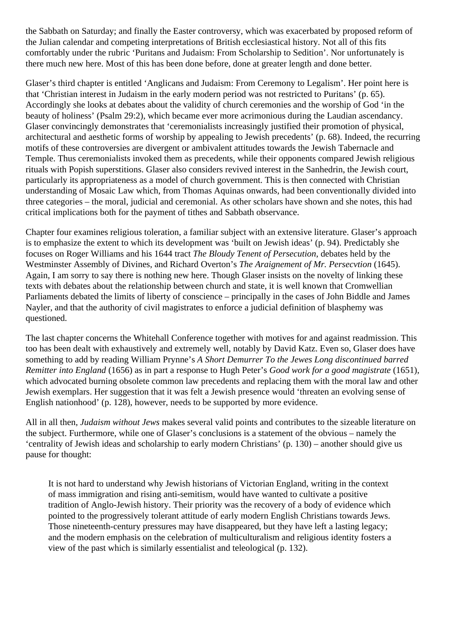the Sabbath on Saturday; and finally the Easter controversy, which was exacerbated by proposed reform of the Julian calendar and competing interpretations of British ecclesiastical history. Not all of this fits comfortably under the rubric 'Puritans and Judaism: From Scholarship to Sedition'. Nor unfortunately is there much new here. Most of this has been done before, done at greater length and done better.

Glaser's third chapter is entitled 'Anglicans and Judaism: From Ceremony to Legalism'. Her point here is that 'Christian interest in Judaism in the early modern period was not restricted to Puritans' (p. 65). Accordingly she looks at debates about the validity of church ceremonies and the worship of God 'in the beauty of holiness' (Psalm 29:2), which became ever more acrimonious during the Laudian ascendancy. Glaser convincingly demonstrates that 'ceremonialists increasingly justified their promotion of physical, architectural and aesthetic forms of worship by appealing to Jewish precedents' (p. 68). Indeed, the recurring motifs of these controversies are divergent or ambivalent attitudes towards the Jewish Tabernacle and Temple. Thus ceremonialists invoked them as precedents, while their opponents compared Jewish religious rituals with Popish superstitions. Glaser also considers revived interest in the Sanhedrin, the Jewish court, particularly its appropriateness as a model of church government. This is then connected with Christian understanding of Mosaic Law which, from Thomas Aquinas onwards, had been conventionally divided into three categories – the moral, judicial and ceremonial. As other scholars have shown and she notes, this had critical implications both for the payment of tithes and Sabbath observance.

Chapter four examines religious toleration, a familiar subject with an extensive literature. Glaser's approach is to emphasize the extent to which its development was 'built on Jewish ideas' (p. 94). Predictably she focuses on Roger Williams and his 1644 tract *The Bloudy Tenent of Persecution*, debates held by the Westminster Assembly of Divines, and Richard Overton's *The Araignement of Mr. Persecvtion* (1645). Again, I am sorry to say there is nothing new here. Though Glaser insists on the novelty of linking these texts with debates about the relationship between church and state, it is well known that Cromwellian Parliaments debated the limits of liberty of conscience – principally in the cases of John Biddle and James Nayler, and that the authority of civil magistrates to enforce a judicial definition of blasphemy was questioned.

The last chapter concerns the Whitehall Conference together with motives for and against readmission. This too has been dealt with exhaustively and extremely well, notably by David Katz. Even so, Glaser does have something to add by reading William Prynne's *A Short Demurrer To the Jewes Long discontinued barred Remitter into England* (1656) as in part a response to Hugh Peter's *Good work for a good magistrate* (1651), which advocated burning obsolete common law precedents and replacing them with the moral law and other Jewish exemplars. Her suggestion that it was felt a Jewish presence would 'threaten an evolving sense of English nationhood' (p. 128), however, needs to be supported by more evidence.

All in all then, *Judaism without Jews* makes several valid points and contributes to the sizeable literature on the subject. Furthermore, while one of Glaser's conclusions is a statement of the obvious – namely the 'centrality of Jewish ideas and scholarship to early modern Christians' (p. 130) – another should give us pause for thought:

It is not hard to understand why Jewish historians of Victorian England, writing in the context of mass immigration and rising anti-semitism, would have wanted to cultivate a positive tradition of Anglo-Jewish history. Their priority was the recovery of a body of evidence which pointed to the progressively tolerant attitude of early modern English Christians towards Jews. Those nineteenth-century pressures may have disappeared, but they have left a lasting legacy; and the modern emphasis on the celebration of multiculturalism and religious identity fosters a view of the past which is similarly essentialist and teleological (p. 132).